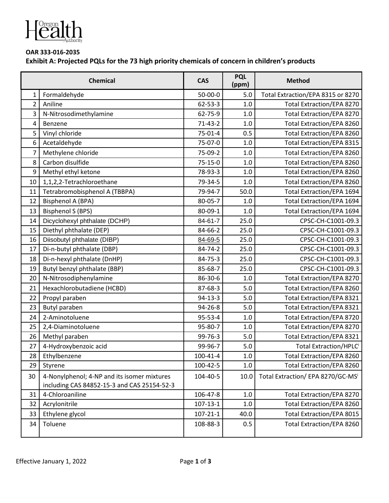

## **OAR 333-016-2035 Exhibit A: Projected PQLs for the 73 high priority chemicals of concern in children's products**

| <b>Chemical</b> |                                                                                            | <b>CAS</b>     | <b>PQL</b><br>(ppm) | <b>Method</b>                     |
|-----------------|--------------------------------------------------------------------------------------------|----------------|---------------------|-----------------------------------|
| 1               | Formaldehyde                                                                               | 50-00-0        | 5.0                 | Total Extraction/EPA 8315 or 8270 |
| $\overline{2}$  | Aniline                                                                                    | $62 - 53 - 3$  | 1.0                 | <b>Total Extraction/EPA 8270</b>  |
| 3               | N-Nitrosodimethylamine                                                                     | 62-75-9        | 1.0                 | <b>Total Extraction/EPA 8270</b>  |
| 4               | Benzene                                                                                    | $71 - 43 - 2$  | 1.0                 | <b>Total Extraction/EPA 8260</b>  |
| 5               | Vinyl chloride                                                                             | 75-01-4        | 0.5                 | <b>Total Extraction/EPA 8260</b>  |
| 6               | Acetaldehyde                                                                               | 75-07-0        | 1.0                 | <b>Total Extraction/EPA 8315</b>  |
| 7               | Methylene chloride                                                                         | 75-09-2        | 1.0                 | <b>Total Extraction/EPA 8260</b>  |
| 8               | Carbon disulfide                                                                           | $75 - 15 - 0$  | 1.0                 | Total Extraction/EPA 8260         |
| 9               | Methyl ethyl ketone                                                                        | 78-93-3        | 1.0                 | <b>Total Extraction/EPA 8260</b>  |
| 10              | 1,1,2,2-Tetrachloroethane                                                                  | 79-34-5        | 1.0                 | <b>Total Extraction/EPA 8260</b>  |
| 11              | Tetrabromobisphenol A (TBBPA)                                                              | 79-94-7        | 50.0                | <b>Total Extraction/EPA 1694</b>  |
| 12              | Bisphenol A (BPA)                                                                          | 80-05-7        | 1.0                 | <b>Total Extraction/EPA 1694</b>  |
| 13              | <b>Bisphenol S (BPS)</b>                                                                   | 80-09-1        | 1.0                 | <b>Total Extraction/EPA 1694</b>  |
| 14              | Dicyclohexyl phthalate (DCHP)                                                              | 84-61-7        | 25.0                | CPSC-CH-C1001-09.3                |
| 15              | Diethyl phthalate (DEP)                                                                    | 84-66-2        | 25.0                | CPSC-CH-C1001-09.3                |
| 16              | Diisobutyl phthalate (DIBP)                                                                | 84-69-5        | 25.0                | CPSC-CH-C1001-09.3                |
| 17              | Di-n-butyl phthalate (DBP)                                                                 | 84-74-2        | 25.0                | CPSC-CH-C1001-09.3                |
| 18              | Di-n-hexyl phthalate (DnHP)                                                                | 84-75-3        | 25.0                | CPSC-CH-C1001-09.3                |
| 19              | Butyl benzyl phthalate (BBP)                                                               | 85-68-7        | 25.0                | CPSC-CH-C1001-09.3                |
| 20              | N-Nitrosodiphenylamine                                                                     | 86-30-6        | 1.0                 | <b>Total Extraction/EPA 8270</b>  |
| 21              | Hexachlorobutadiene (HCBD)                                                                 | 87-68-3        | 5.0                 | Total Extraction/EPA 8260         |
| 22              | Propyl paraben                                                                             | $94 - 13 - 3$  | 5.0                 | <b>Total Extraction/EPA 8321</b>  |
| 23              | Butyl paraben                                                                              | 94-26-8        | 5.0                 | <b>Total Extraction/EPA 8321</b>  |
| 24              | 2-Aminotoluene                                                                             | 95-53-4        | 1.0                 | <b>Total Extraction/EPA 8720</b>  |
| 25              | 2,4-Diaminotoluene                                                                         | 95-80-7        | 1.0                 | <b>Total Extraction/EPA 8270</b>  |
| 26              | Methyl paraben                                                                             | 99-76-3        | 5.0                 | <b>Total Extraction/EPA 8321</b>  |
| 27              | 4-Hydroxybenzoic acid                                                                      | 99-96-7        | 5.0                 | Total Extraction/HPLCi            |
| 28              | Ethylbenzene                                                                               | $100 - 41 - 4$ | 1.0                 | Total Extraction/EPA 8260         |
| 29              | Styrene                                                                                    | 100-42-5       | 1.0                 | <b>Total Extraction/EPA 8260</b>  |
| 30              | 4-Nonylphenol; 4-NP and its isomer mixtures<br>including CAS 84852-15-3 and CAS 25154-52-3 | 104-40-5       | 10.0                | Total Extraction/ EPA 8270/GC-MS  |
| 31              | 4-Chloroaniline                                                                            | 106-47-8       | $1.0\,$             | Total Extraction/EPA 8270         |
| 32              | Acrylonitrile                                                                              | $107 - 13 - 1$ | 1.0                 | Total Extraction/EPA 8260         |
| 33              | Ethylene glycol                                                                            | $107 - 21 - 1$ | 40.0                | <b>Total Extraction/EPA 8015</b>  |
| 34              | Toluene                                                                                    | 108-88-3       | 0.5                 | Total Extraction/EPA 8260         |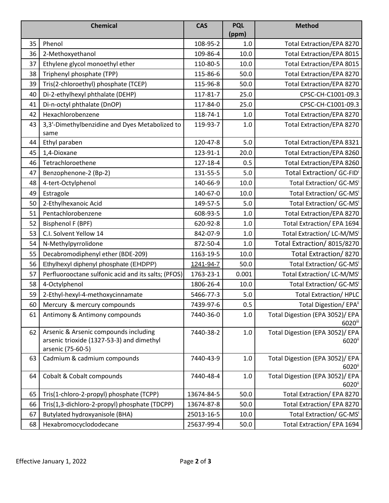|    | <b>Chemical</b>                                                                                         | <b>CAS</b> | <b>PQL</b><br>(ppm) | <b>Method</b>                                           |
|----|---------------------------------------------------------------------------------------------------------|------------|---------------------|---------------------------------------------------------|
| 35 | Phenol                                                                                                  | 108-95-2   | 1.0                 | <b>Total Extraction/EPA 8270</b>                        |
| 36 | 2-Methoxyethanol                                                                                        | 109-86-4   | 10.0                | <b>Total Extraction/EPA 8015</b>                        |
| 37 | Ethylene glycol monoethyl ether                                                                         | 110-80-5   | 10.0                | Total Extraction/EPA 8015                               |
| 38 | Triphenyl phosphate (TPP)                                                                               | 115-86-6   | 50.0                | Total Extraction/EPA 8270                               |
| 39 | Tris(2-chloroethyl) phosphate (TCEP)                                                                    | 115-96-8   | 50.0                | <b>Total Extraction/EPA 8270</b>                        |
| 40 | Di-2-ethylhexyl phthalate (DEHP)                                                                        | 117-81-7   | 25.0                | CPSC-CH-C1001-09.3                                      |
| 41 | Di-n-octyl phthalate (DnOP)                                                                             | 117-84-0   | 25.0                | CPSC-CH-C1001-09.3                                      |
| 42 | Hexachlorobenzene                                                                                       | 118-74-1   | 1.0                 | <b>Total Extraction/EPA 8270</b>                        |
| 43 | 3,3'-Dimethylbenzidine and Dyes Metabolized to<br>same                                                  | 119-93-7   | 1.0                 | <b>Total Extraction/EPA 8270</b>                        |
| 44 | Ethyl paraben                                                                                           | 120-47-8   | 5.0                 | <b>Total Extraction/EPA 8321</b>                        |
| 45 | 1,4-Dioxane                                                                                             | 123-91-1   | 20.0                | <b>Total Extraction/EPA 8260</b>                        |
| 46 | Tetrachloroethene                                                                                       | 127-18-4   | 0.5                 | Total Extraction/EPA 8260                               |
| 47 | Benzophenone-2 (Bp-2)                                                                                   | 131-55-5   | 5.0                 | Total Extraction/ GC-FIDi                               |
| 48 | 4-tert-Octylphenol                                                                                      | 140-66-9   | 10.0                | Total Extraction/ GC-MSi                                |
| 49 | Estragole                                                                                               | 140-67-0   | 10.0                | Total Extraction/ GC-MSi                                |
| 50 | 2-Ethylhexanoic Acid                                                                                    | 149-57-5   | 5.0                 | Total Extraction/ GC-MSi                                |
| 51 | Pentachlorobenzene                                                                                      | 608-93-5   | 1.0                 | <b>Total Extraction/EPA 8270</b>                        |
| 52 | <b>Bisphenol F (BPF)</b>                                                                                | 620-92-8   | 1.0                 | Total Extraction/ EPA 1694                              |
| 53 | C.I. Solvent Yellow 14                                                                                  | 842-07-9   | 1.0                 | Total Extraction/LC-M/MSi                               |
| 54 | N-Methylpyrrolidone                                                                                     | 872-50-4   | 1.0                 | Total Extraction/8015/8270                              |
| 55 | Decabromodiphenyl ether (BDE-209)                                                                       | 1163-19-5  | 10.0                | Total Extraction/8270                                   |
| 56 | Ethylhexyl diphenyl phosphate (EHDPP)                                                                   | 1241-94-7  | 50.0                | Total Extraction/ GC-MS <sup>i</sup>                    |
| 57 | Perfluorooctane sulfonic acid and its salts; (PFOS)                                                     | 1763-23-1  | 0.001               | Total Extraction/ LC-M/MSi                              |
| 58 | 4-Octylphenol                                                                                           | 1806-26-4  | 10.0                | Total Extraction/ GC-MSi                                |
| 59 | 2-Ethyl-hexyl-4-methoxycinnamate                                                                        | 5466-77-3  | 5.0                 | <b>Total Extraction/HPLC</b>                            |
| 60 | Mercury & mercury compounds                                                                             | 7439-97-6  | 0.5                 | Total Digestion/EPA <sup>ii</sup>                       |
| 61 | Antimony & Antimony compounds                                                                           | 7440-36-0  | 1.0                 | Total Digestion (EPA 3052)/ EPA<br>6020iii              |
| 62 | Arsenic & Arsenic compounds including<br>arsenic trioxide (1327-53-3) and dimethyl<br>arsenic (75-60-5) | 7440-38-2  | 1.0                 | Total Digestion (EPA 3052)/ EPA<br>6020 <sup>ii</sup>   |
| 63 | Cadmium & cadmium compounds                                                                             | 7440-43-9  | 1.0                 | Total Digestion (EPA 3052)/ EPA<br>$6020$ <sup>ii</sup> |
| 64 | Cobalt & Cobalt compounds                                                                               | 7440-48-4  | 1.0                 | Total Digestion (EPA 3052)/ EPA<br>6020 <sup>ii</sup>   |
| 65 | Tris(1-chloro-2-propyl) phosphate (TCPP)                                                                | 13674-84-5 | 50.0                | Total Extraction/EPA 8270                               |
| 66 | Tris(1,3-dichloro-2-propyl) phosphate (TDCPP)                                                           | 13674-87-8 | 50.0                | Total Extraction/EPA 8270                               |
| 67 | Butylated hydroxyanisole (BHA)                                                                          | 25013-16-5 | 10.0                | Total Extraction/ GC-MSi                                |
| 68 | Hexabromocyclododecane                                                                                  | 25637-99-4 | 50.0                | Total Extraction/ EPA 1694                              |